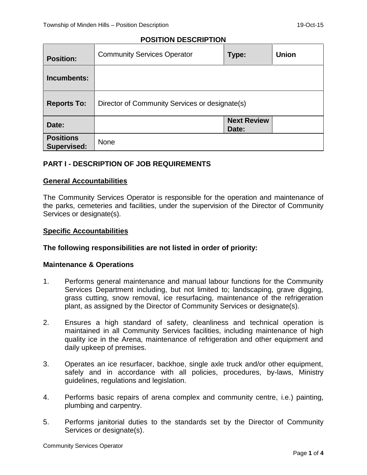# **POSITION DESCRIPTION**

| <b>Position:</b>                       | <b>Community Services Operator</b>             | Type:                       | <b>Union</b> |
|----------------------------------------|------------------------------------------------|-----------------------------|--------------|
| Incumbents:                            |                                                |                             |              |
| <b>Reports To:</b>                     | Director of Community Services or designate(s) |                             |              |
| Date:                                  |                                                | <b>Next Review</b><br>Date: |              |
| <b>Positions</b><br><b>Supervised:</b> | None                                           |                             |              |

# **PART I - DESCRIPTION OF JOB REQUIREMENTS**

# **General Accountabilities**

The Community Services Operator is responsible for the operation and maintenance of the parks, cemeteries and facilities, under the supervision of the Director of Community Services or designate(s).

## **Specific Accountabilities**

## **The following responsibilities are not listed in order of priority:**

## **Maintenance & Operations**

- 1. Performs general maintenance and manual labour functions for the Community Services Department including, but not limited to; landscaping, grave digging, grass cutting, snow removal, ice resurfacing, maintenance of the refrigeration plant, as assigned by the Director of Community Services or designate(s).
- 2. Ensures a high standard of safety, cleanliness and technical operation is maintained in all Community Services facilities, including maintenance of high quality ice in the Arena, maintenance of refrigeration and other equipment and daily upkeep of premises.
- 3. Operates an ice resurfacer, backhoe, single axle truck and/or other equipment, safely and in accordance with all policies, procedures, by-laws, Ministry guidelines, regulations and legislation.
- 4. Performs basic repairs of arena complex and community centre, i.e.) painting, plumbing and carpentry.
- 5. Performs janitorial duties to the standards set by the Director of Community Services or designate(s).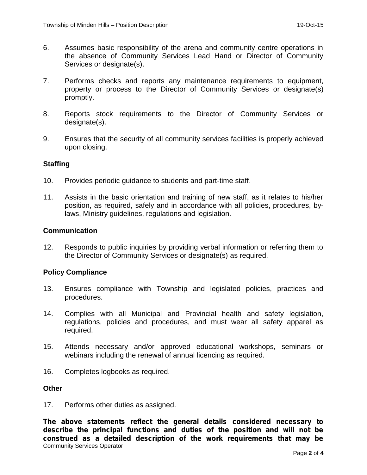- 6. Assumes basic responsibility of the arena and community centre operations in the absence of Community Services Lead Hand or Director of Community Services or designate(s).
- 7. Performs checks and reports any maintenance requirements to equipment, property or process to the Director of Community Services or designate(s) promptly.
- 8. Reports stock requirements to the Director of Community Services or designate(s).
- 9. Ensures that the security of all community services facilities is properly achieved upon closing.

# **Staffing**

- 10. Provides periodic guidance to students and part-time staff.
- 11. Assists in the basic orientation and training of new staff, as it relates to his/her position, as required, safely and in accordance with all policies, procedures, bylaws, Ministry guidelines, regulations and legislation.

## **Communication**

12. Responds to public inquiries by providing verbal information or referring them to the Director of Community Services or designate(s) as required.

## **Policy Compliance**

- 13. Ensures compliance with Township and legislated policies, practices and procedures.
- 14. Complies with all Municipal and Provincial health and safety legislation, regulations, policies and procedures, and must wear all safety apparel as required.
- 15. Attends necessary and/or approved educational workshops, seminars or webinars including the renewal of annual licencing as required.
- 16. Completes logbooks as required.

## **Other**

17. Performs other duties as assigned.

Community Services Operator *The above statements reflect the general details considered necessary to describe the principal functions and duties of the position and will not be construed as a detailed description of the work requirements that may be*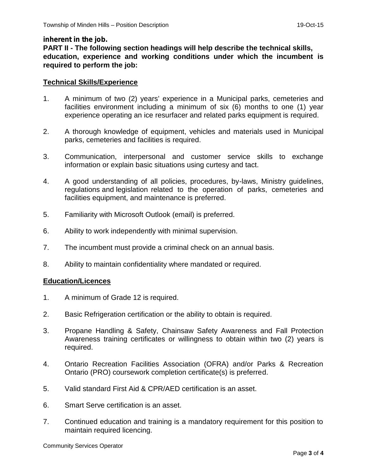#### *inherent in the job.*

**PART II - The following section headings will help describe the technical skills, education, experience and working conditions under which the incumbent is required to perform the job:**

#### **Technical Skills/Experience**

- 1. A minimum of two (2) years' experience in a Municipal parks, cemeteries and facilities environment including a minimum of six (6) months to one (1) year experience operating an ice resurfacer and related parks equipment is required.
- 2. A thorough knowledge of equipment, vehicles and materials used in Municipal parks, cemeteries and facilities is required.
- 3. Communication, interpersonal and customer service skills to exchange information or explain basic situations using curtesy and tact.
- 4. A good understanding of all policies, procedures, by-laws, Ministry guidelines, regulations and legislation related to the operation of parks, cemeteries and facilities equipment, and maintenance is preferred.
- 5. Familiarity with Microsoft Outlook (email) is preferred.
- 6. Ability to work independently with minimal supervision.
- 7. The incumbent must provide a criminal check on an annual basis.
- 8. Ability to maintain confidentiality where mandated or required.

## **Education/Licences**

- 1. A minimum of Grade 12 is required.
- 2. Basic Refrigeration certification or the ability to obtain is required.
- 3. Propane Handling & Safety, Chainsaw Safety Awareness and Fall Protection Awareness training certificates or willingness to obtain within two (2) years is required.
- 4. Ontario Recreation Facilities Association (OFRA) and/or Parks & Recreation Ontario (PRO) coursework completion certificate(s) is preferred.
- 5. Valid standard First Aid & CPR/AED certification is an asset.
- 6. Smart Serve certification is an asset.
- 7. Continued education and training is a mandatory requirement for this position to maintain required licencing.